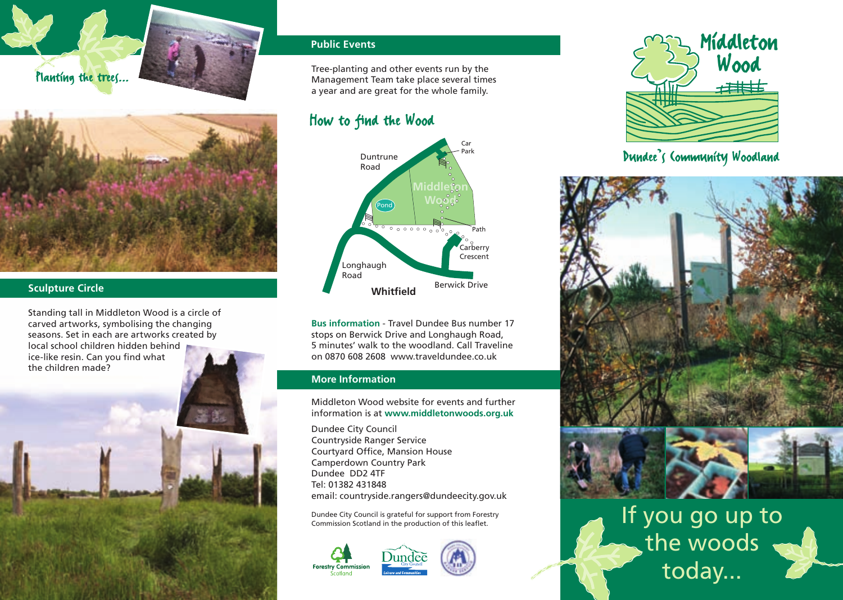



#### **Sculpture Circle**

Standing tall in Middleton Wood is a circle of carved artworks, symbolising the changing seasons. Set in each are artworks created by local school children hidden behind



## **Public Events**

Tree-planting and other events run by the Management Team take place several times a year and are great for the whole family.

# How to find the Wood



**Bus information** - Travel Dundee Bus number 17 stops on Berwick Drive and Longhaugh Road, 5 minutes' walk to the woodland. Call Traveline on 0870 608 2608 www.traveldundee.co.uk

#### **More Information**

Middleton Wood website for events and further information is at **www.middletonwoods.org.uk**

Dundee City Council Countryside Ranger Service Courtyard Office, Mansion House Camperdown Country Park Dundee DD2 4TF Tel: 01382 431848 email: countryside.rangers@dundeecity.gov.uk

Dundee City Council is grateful for support from Forestry Commission Scotland in the production of this leaflet.







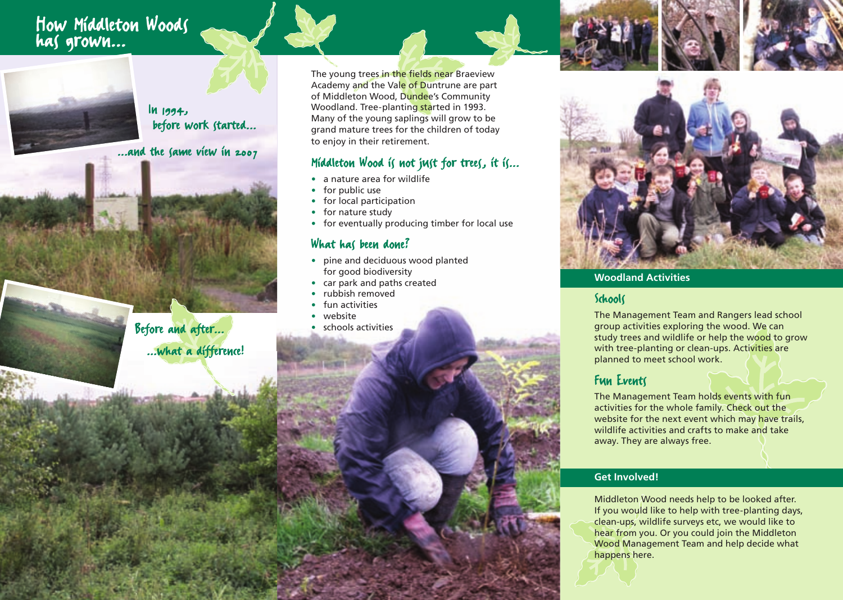# How Middleton Woods has grown...



In 1994, before work started...

...and the same view in 2007

Before and after... ...what a difference!

The young trees in the fields near Braeview Academy and the Vale of Duntrune are part of Middleton Wood, Dundee's Community Woodland. Tree-planting started in 1993. Many of the young saplings will grow to be grand mature trees for the children of today to enjoy in their retirement.

# Middleton Wood is not just for trees, it is...

- · a nature area for wildlife
- for public use
- · for local participation
- · for nature study
- · for eventually producing timber for local use

## What has been done?

- · pine and deciduous wood planted for good biodiversity
- · car park and paths created
- rubbish removed
- fun activities
- · website
- schools activities



#### **Woodland Activities**

## Schools

The Management Team and Rangers lead school group activities exploring the wood. We can study trees and wildlife or help the wood to grow with tree-planting or clean-ups. Activities are planned to meet school work.

## Fun Events

The Management Team holds events with fun activities for the whole family. Check out the website for the next event which may have trails. wildlife activities and crafts to make and take away. They are always free.

#### **Get Involved!**

Middleton Wood needs help to be looked after. If you would like to help with tree-planting days, clean-ups, wildlife surveys etc, we would like to hear from you. Or you could join the Middleton Wood Management Team and help decide what happens here.